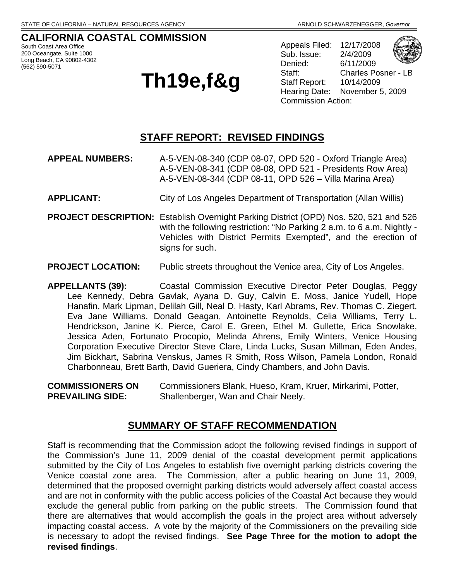#### **CALIFORNIA COASTAL COMMISSION**  South Coast Area Office

200 Oceangate, Suite 1000 Long Beach, CA 90802-4302 (562) 590-5071

# **Th19e,f&g**

Appeals Filed: 12/17/2008 Sub. Issue: 2/4/2009 Denied: 6/11/2009 Staff: Charles Posner - LB Staff Report: 10/14/2009 Hearing Date: November 5, 2009 Commission Action:



### **STAFF REPORT: REVISED FINDINGS**

- **APPEAL NUMBERS:** A-5-VEN-08-340 (CDP 08-07, OPD 520 Oxford Triangle Area) A-5-VEN-08-341 (CDP 08-08, OPD 521 - Presidents Row Area) A-5-VEN-08-344 (CDP 08-11, OPD 526 – Villa Marina Area)
- **APPLICANT:** City of Los Angeles Department of Transportation (Allan Willis)
- **PROJECT DESCRIPTION:** Establish Overnight Parking District (OPD) Nos. 520, 521 and 526 with the following restriction: "No Parking 2 a.m. to 6 a.m. Nightly - Vehicles with District Permits Exempted", and the erection of signs for such.
- **PROJECT LOCATION:** Public streets throughout the Venice area, City of Los Angeles.

**APPELLANTS (39):** Coastal Commission Executive Director Peter Douglas, Peggy Lee Kennedy, Debra Gavlak, Ayana D. Guy, Calvin E. Moss, Janice Yudell, Hope Hanafin, Mark Lipman, Delilah Gill, Neal D. Hasty, Karl Abrams, Rev. Thomas C. Ziegert, Eva Jane Williams, Donald Geagan, Antoinette Reynolds, Celia Williams, Terry L. Hendrickson, Janine K. Pierce, Carol E. Green, Ethel M. Gullette, Erica Snowlake, Jessica Aden, Fortunato Procopio, Melinda Ahrens, Emily Winters, Venice Housing Corporation Executive Director Steve Clare, Linda Lucks, Susan Millman, Eden Andes, Jim Bickhart, Sabrina Venskus, James R Smith, Ross Wilson, Pamela London, Ronald Charbonneau, Brett Barth, David Gueriera, Cindy Chambers, and John Davis.

**COMMISSIONERS ON** Commissioners Blank, Hueso, Kram, Kruer, Mirkarimi, Potter, **PREVAILING SIDE:** Shallenberger, Wan and Chair Neely.

#### **SUMMARY OF STAFF RECOMMENDATION**

Staff is recommending that the Commission adopt the following revised findings in support of the Commission's June 11, 2009 denial of the coastal development permit applications submitted by the City of Los Angeles to establish five overnight parking districts covering the Venice coastal zone area. The Commission, after a public hearing on June 11, 2009, determined that the proposed overnight parking districts would adversely affect coastal access and are not in conformity with the public access policies of the Coastal Act because they would exclude the general public from parking on the public streets. The Commission found that there are alternatives that would accomplish the goals in the project area without adversely impacting coastal access. A vote by the majority of the Commissioners on the prevailing side is necessary to adopt the revised findings. **See Page Three for the motion to adopt the revised findings**.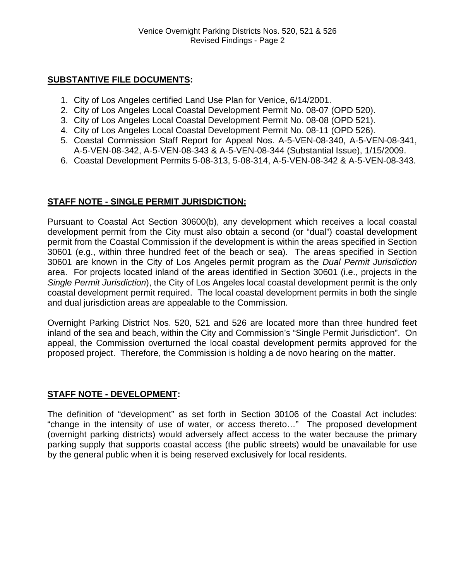#### **SUBSTANTIVE FILE DOCUMENTS:**

- 1. City of Los Angeles certified Land Use Plan for Venice, 6/14/2001.
- 2. City of Los Angeles Local Coastal Development Permit No. 08-07 (OPD 520).
- 3. City of Los Angeles Local Coastal Development Permit No. 08-08 (OPD 521).
- 4. City of Los Angeles Local Coastal Development Permit No. 08-11 (OPD 526).
- 5. Coastal Commission Staff Report for Appeal Nos. A-5-VEN-08-340, A-5-VEN-08-341, A-5-VEN-08-342, A-5-VEN-08-343 & A-5-VEN-08-344 (Substantial Issue), 1/15/2009.
- 6. Coastal Development Permits 5-08-313, 5-08-314, A-5-VEN-08-342 & A-5-VEN-08-343.

#### **STAFF NOTE - SINGLE PERMIT JURISDICTION:**

Pursuant to Coastal Act Section 30600(b), any development which receives a local coastal development permit from the City must also obtain a second (or "dual") coastal development permit from the Coastal Commission if the development is within the areas specified in Section 30601 (e.g., within three hundred feet of the beach or sea). The areas specified in Section 30601 are known in the City of Los Angeles permit program as the *Dual Permit Jurisdiction* area. For projects located inland of the areas identified in Section 30601 (i.e., projects in the *Single Permit Jurisdiction*), the City of Los Angeles local coastal development permit is the only coastal development permit required. The local coastal development permits in both the single and dual jurisdiction areas are appealable to the Commission.

Overnight Parking District Nos. 520, 521 and 526 are located more than three hundred feet inland of the sea and beach, within the City and Commission's "Single Permit Jurisdiction". On appeal, the Commission overturned the local coastal development permits approved for the proposed project. Therefore, the Commission is holding a de novo hearing on the matter.

#### **STAFF NOTE - DEVELOPMENT:**

The definition of "development" as set forth in Section 30106 of the Coastal Act includes: "change in the intensity of use of water, or access thereto…" The proposed development (overnight parking districts) would adversely affect access to the water because the primary parking supply that supports coastal access (the public streets) would be unavailable for use by the general public when it is being reserved exclusively for local residents.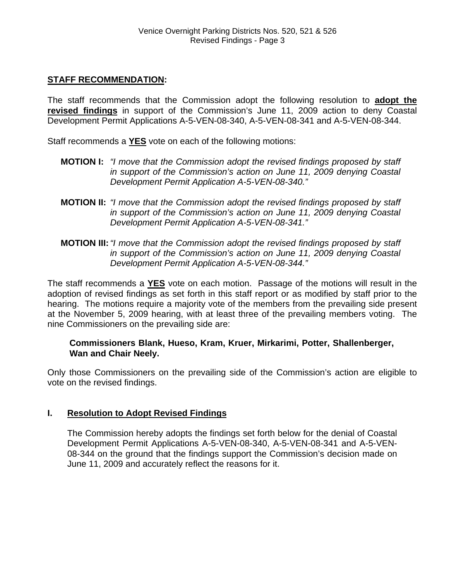#### **STAFF RECOMMENDATION:**

The staff recommends that the Commission adopt the following resolution to **adopt the revised findings** in support of the Commission's June 11, 2009 action to deny Coastal Development Permit Applications A-5-VEN-08-340, A-5-VEN-08-341 and A-5-VEN-08-344.

Staff recommends a **YES** vote on each of the following motions:

- **MOTION I:** *"I move that the Commission adopt the revised findings proposed by staff in support of the Commission's action on June 11, 2009 denying Coastal Development Permit Application A-5-VEN-08-340."*
- **MOTION II:** *"I move that the Commission adopt the revised findings proposed by staff in support of the Commission's action on June 11, 2009 denying Coastal Development Permit Application A-5-VEN-08-341."*
- **MOTION III:***"I move that the Commission adopt the revised findings proposed by staff in support of the Commission's action on June 11, 2009 denying Coastal Development Permit Application A-5-VEN-08-344."*

The staff recommends a **YES** vote on each motion. Passage of the motions will result in the adoption of revised findings as set forth in this staff report or as modified by staff prior to the hearing. The motions require a majority vote of the members from the prevailing side present at the November 5, 2009 hearing, with at least three of the prevailing members voting. The nine Commissioners on the prevailing side are:

#### **Commissioners Blank, Hueso, Kram, Kruer, Mirkarimi, Potter, Shallenberger, Wan and Chair Neely.**

Only those Commissioners on the prevailing side of the Commission's action are eligible to vote on the revised findings.

#### **I. Resolution to Adopt Revised Findings**

The Commission hereby adopts the findings set forth below for the denial of Coastal Development Permit Applications A-5-VEN-08-340, A-5-VEN-08-341 and A-5-VEN-08-344 on the ground that the findings support the Commission's decision made on June 11, 2009 and accurately reflect the reasons for it.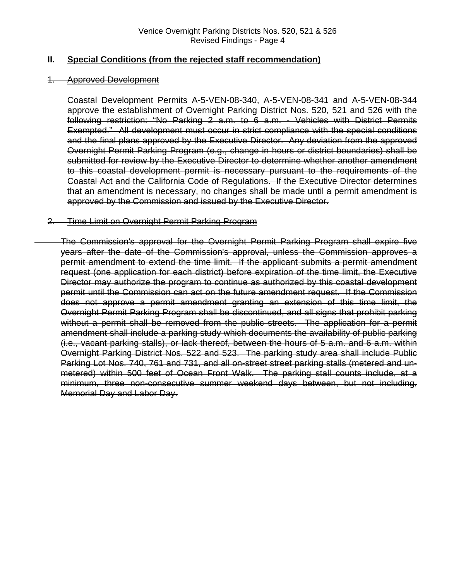#### **II. Special Conditions (from the rejected staff recommendation)**

#### 1. Approved Development

Coastal Development Permits A-5-VEN-08-340, A-5-VEN-08-341 and A-5-VEN-08-344 approve the establishment of Overnight Parking District Nos. 520, 521 and 526 with the following restriction: "No Parking 2 a.m. to 6 a.m. - Vehicles with District Permits Exempted." All development must occur in strict compliance with the special conditions and the final plans approved by the Executive Director. Any deviation from the approved Overnight Permit Parking Program (e.g., change in hours or district boundaries) shall be submitted for review by the Executive Director to determine whether another amendment to this coastal development permit is necessary pursuant to the requirements of the Coastal Act and the California Code of Regulations. If the Executive Director determines that an amendment is necessary, no changes shall be made until a permit amendment is approved by the Commission and issued by the Executive Director.

#### 2. Time Limit on Overnight Permit Parking Program

The Commission's approval for the Overnight Permit Parking Program shall expire five years after the date of the Commission's approval, unless the Commission approves a permit amendment to extend the time limit. If the applicant submits a permit amendment request (one application for each district) before expiration of the time limit, the Executive Director may authorize the program to continue as authorized by this coastal development permit until the Commission can act on the future amendment request. If the Commission does not approve a permit amendment granting an extension of this time limit, the Overnight Permit Parking Program shall be discontinued, and all signs that prohibit parking without a permit shall be removed from the public streets. The application for a permit amendment shall include a parking study which documents the availability of public parking (i.e., vacant parking stalls), or lack thereof, between the hours of 5 a.m. and 6 a.m. within Overnight Parking District Nos. 522 and 523. The parking study area shall include Public Parking Lot Nos. 740, 761 and 731, and all on-street street parking stalls (metered and unmetered) within 500 feet of Ocean Front Walk. The parking stall counts include, at a minimum, three non-consecutive summer weekend days between, but not including, Memorial Day and Labor Day.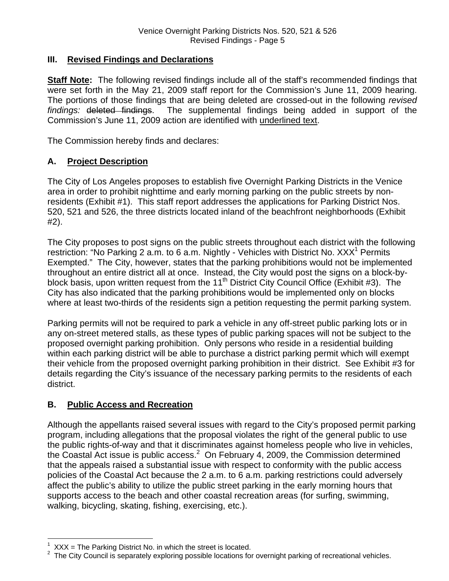#### **III. Revised Findings and Declarations**

**Staff Note:** The following revised findings include all of the staff's recommended findings that were set forth in the May 21, 2009 staff report for the Commission's June 11, 2009 hearing. The portions of those findings that are being deleted are crossed-out in the following *revised findings:* deleted findings. The supplemental findings being added in support of the Commission's June 11, 2009 action are identified with underlined text.

The Commission hereby finds and declares:

#### **A. Project Description**

The City of Los Angeles proposes to establish five Overnight Parking Districts in the Venice area in order to prohibit nighttime and early morning parking on the public streets by nonresidents (Exhibit #1). This staff report addresses the applications for Parking District Nos. 520, 521 and 526, the three districts located inland of the beachfront neighborhoods (Exhibit #2).

The City proposes to post signs on the public streets throughout each district with the following restriction: "No Parking 2 a.m. to 6 a.m. Nightly - Vehicles with District No. XXX<sup>[1](#page-4-0)</sup> Permits Exempted." The City, however, states that the parking prohibitions would not be implemented throughout an entire district all at once. Instead, the City would post the signs on a block-byblock basis, upon written request from the 11<sup>th</sup> District City Council Office (Exhibit #3). The City has also indicated that the parking prohibitions would be implemented only on blocks where at least two-thirds of the residents sign a petition requesting the permit parking system.

Parking permits will not be required to park a vehicle in any off-street public parking lots or in any on-street metered stalls, as these types of public parking spaces will not be subject to the proposed overnight parking prohibition. Only persons who reside in a residential building within each parking district will be able to purchase a district parking permit which will exempt their vehicle from the proposed overnight parking prohibition in their district. See Exhibit #3 for details regarding the City's issuance of the necessary parking permits to the residents of each district.

#### **B. Public Access and Recreation**

 $\overline{a}$ 

Although the appellants raised several issues with regard to the City's proposed permit parking program, including allegations that the proposal violates the right of the general public to use the public rights-of-way and that it discriminates against homeless people who live in vehicles, the Coastal Act issue is public access. $^2$  On February 4, 2009, the Commission determined that the appeals raised a substantial issue with respect to conformity with the public access policies of the Coastal Act because the 2 a.m. to 6 a.m. parking restrictions could adversely affect the public's ability to utilize the public street parking in the early morning hours that supports access to the beach and other coastal recreation areas (for surfing, swimming, walking, bicycling, skating, fishing, exercising, etc.).

<span id="page-4-0"></span> $1$  XXX = The Parking District No. in which the street is located.

<span id="page-4-1"></span><sup>2</sup> The City Council is separately exploring possible locations for overnight parking of recreational vehicles.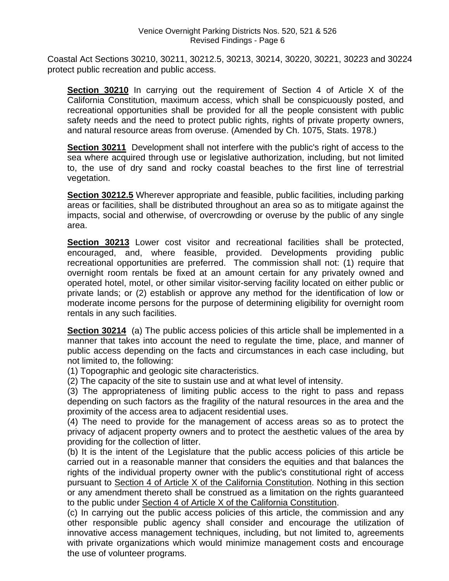Coastal Act Sections 30210, 30211, 30212.5, 30213, 30214, 30220, 30221, 30223 and 30224 protect public recreation and public access.

**Section 30210** In carrying out the requirement of Section 4 of Article X of the California Constitution, maximum access, which shall be conspicuously posted, and recreational opportunities shall be provided for all the people consistent with public safety needs and the need to protect public rights, rights of private property owners, and natural resource areas from overuse. (Amended by Ch. 1075, Stats. 1978.)

**Section 30211** Development shall not interfere with the public's right of access to the sea where acquired through use or legislative authorization, including, but not limited to, the use of dry sand and rocky coastal beaches to the first line of terrestrial vegetation.

**Section 30212.5** Wherever appropriate and feasible, public facilities, including parking areas or facilities, shall be distributed throughout an area so as to mitigate against the impacts, social and otherwise, of overcrowding or overuse by the public of any single area.

**Section 30213** Lower cost visitor and recreational facilities shall be protected, encouraged, and, where feasible, provided. Developments providing public recreational opportunities are preferred. The commission shall not: (1) require that overnight room rentals be fixed at an amount certain for any privately owned and operated hotel, motel, or other similar visitor-serving facility located on either public or private lands; or (2) establish or approve any method for the identification of low or moderate income persons for the purpose of determining eligibility for overnight room rentals in any such facilities.

**Section 30214** (a) The public access policies of this article shall be implemented in a manner that takes into account the need to regulate the time, place, and manner of public access depending on the facts and circumstances in each case including, but not limited to, the following:

(1) Topographic and geologic site characteristics.

(2) The capacity of the site to sustain use and at what level of intensity.

(3) The appropriateness of limiting public access to the right to pass and repass depending on such factors as the fragility of the natural resources in the area and the proximity of the access area to adjacent residential uses.

(4) The need to provide for the management of access areas so as to protect the privacy of adjacent property owners and to protect the aesthetic values of the area by providing for the collection of litter.

(b) It is the intent of the Legislature that the public access policies of this article be carried out in a reasonable manner that considers the equities and that balances the rights of the individual property owner with the public's constitutional right of access pursuant to Section 4 of Article X of the California Constitution. Nothing in this section or any amendment thereto shall be construed as a limitation on the rights guaranteed to the public under Section 4 of Article X of the California Constitution.

(c) In carrying out the public access policies of this article, the commission and any other responsible public agency shall consider and encourage the utilization of innovative access management techniques, including, but not limited to, agreements with private organizations which would minimize management costs and encourage the use of volunteer programs.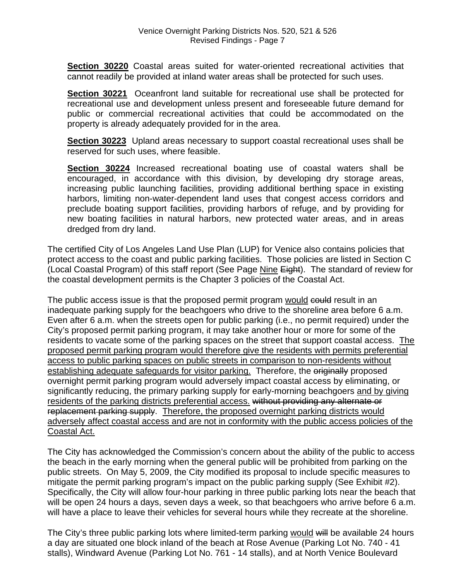**Section 30220** Coastal areas suited for water-oriented recreational activities that cannot readily be provided at inland water areas shall be protected for such uses.

**Section 30221** Oceanfront land suitable for recreational use shall be protected for recreational use and development unless present and foreseeable future demand for public or commercial recreational activities that could be accommodated on the property is already adequately provided for in the area.

**Section 30223** Upland areas necessary to support coastal recreational uses shall be reserved for such uses, where feasible.

**Section 30224** Increased recreational boating use of coastal waters shall be encouraged, in accordance with this division, by developing dry storage areas, increasing public launching facilities, providing additional berthing space in existing harbors, limiting non-water-dependent land uses that congest access corridors and preclude boating support facilities, providing harbors of refuge, and by providing for new boating facilities in natural harbors, new protected water areas, and in areas dredged from dry land.

The certified City of Los Angeles Land Use Plan (LUP) for Venice also contains policies that protect access to the coast and public parking facilities. Those policies are listed in Section C (Local Coastal Program) of this staff report (See Page Nine Eight). The standard of review for the coastal development permits is the Chapter 3 policies of the Coastal Act.

The public access issue is that the proposed permit program would could result in an inadequate parking supply for the beachgoers who drive to the shoreline area before 6 a.m. Even after 6 a.m. when the streets open for public parking (i.e., no permit required) under the City's proposed permit parking program, it may take another hour or more for some of the residents to vacate some of the parking spaces on the street that support coastal access. The proposed permit parking program would therefore give the residents with permits preferential access to public parking spaces on public streets in comparison to non-residents without establishing adequate safeguards for visitor parking. Therefore, the originally proposed overnight permit parking program would adversely impact coastal access by eliminating, or significantly reducing, the primary parking supply for early-morning beachgoers and by giving residents of the parking districts preferential access. without providing any alternate or replacement parking supply. Therefore, the proposed overnight parking districts would adversely affect coastal access and are not in conformity with the public access policies of the Coastal Act.

The City has acknowledged the Commission's concern about the ability of the public to access the beach in the early morning when the general public will be prohibited from parking on the public streets. On May 5, 2009, the City modified its proposal to include specific measures to mitigate the permit parking program's impact on the public parking supply (See Exhibit #2). Specifically, the City will allow four-hour parking in three public parking lots near the beach that will be open 24 hours a days, seven days a week, so that beachgoers who arrive before 6 a.m. will have a place to leave their vehicles for several hours while they recreate at the shoreline.

The City's three public parking lots where limited-term parking would will be available 24 hours a day are situated one block inland of the beach at Rose Avenue (Parking Lot No. 740 - 41 stalls), Windward Avenue (Parking Lot No. 761 - 14 stalls), and at North Venice Boulevard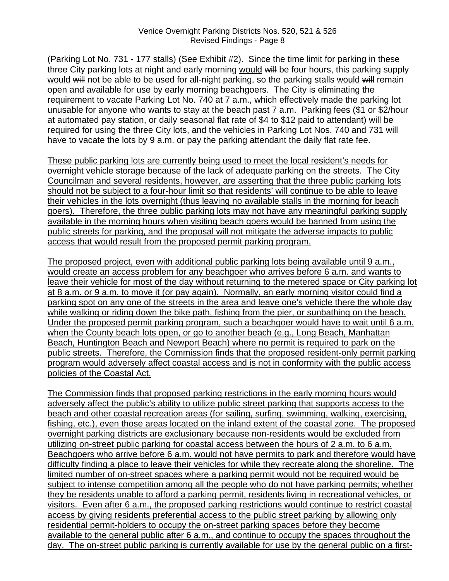(Parking Lot No. 731 - 177 stalls) (See Exhibit #2). Since the time limit for parking in these three City parking lots at night and early morning would will be four hours, this parking supply would will not be able to be used for all-night parking, so the parking stalls would will remain open and available for use by early morning beachgoers. The City is eliminating the requirement to vacate Parking Lot No. 740 at 7 a.m., which effectively made the parking lot unusable for anyone who wants to stay at the beach past 7 a.m. Parking fees (\$1 or \$2/hour at automated pay station, or daily seasonal flat rate of \$4 to \$12 paid to attendant) will be required for using the three City lots, and the vehicles in Parking Lot Nos. 740 and 731 will have to vacate the lots by 9 a.m. or pay the parking attendant the daily flat rate fee.

These public parking lots are currently being used to meet the local resident's needs for overnight vehicle storage because of the lack of adequate parking on the streets. The City Councilman and several residents, however, are asserting that the three public parking lots should not be subject to a four-hour limit so that residents' will continue to be able to leave their vehicles in the lots overnight (thus leaving no available stalls in the morning for beach goers). Therefore, the three public parking lots may not have any meaningful parking supply available in the morning hours when visiting beach goers would be banned from using the public streets for parking, and the proposal will not mitigate the adverse impacts to public access that would result from the proposed permit parking program.

The proposed project, even with additional public parking lots being available until 9 a.m., would create an access problem for any beachgoer who arrives before 6 a.m. and wants to leave their vehicle for most of the day without returning to the metered space or City parking lot at 8 a.m. or 9 a.m. to move it (or pay again). Normally, an early morning visitor could find a parking spot on any one of the streets in the area and leave one's vehicle there the whole day while walking or riding down the bike path, fishing from the pier, or sunbathing on the beach. Under the proposed permit parking program, such a beachgoer would have to wait until 6 a.m. when the County beach lots open, or go to another beach (e.g., Long Beach, Manhattan Beach, Huntington Beach and Newport Beach) where no permit is required to park on the public streets. Therefore, the Commission finds that the proposed resident-only permit parking program would adversely affect coastal access and is not in conformity with the public access policies of the Coastal Act.

The Commission finds that proposed parking restrictions in the early morning hours would adversely affect the public's ability to utilize public street parking that supports access to the beach and other coastal recreation areas (for sailing, surfing, swimming, walking, exercising, fishing, etc.), even those areas located on the inland extent of the coastal zone. The proposed overnight parking districts are exclusionary because non-residents would be excluded from utilizing on-street public parking for coastal access between the hours of 2 a.m. to 6 a.m. Beachgoers who arrive before 6 a.m. would not have permits to park and therefore would have difficulty finding a place to leave their vehicles for while they recreate along the shoreline. The limited number of on-street spaces where a parking permit would not be required would be subject to intense competition among all the people who do not have parking permits; whether they be residents unable to afford a parking permit, residents living in recreational vehicles, or visitors. Even after 6 a.m., the proposed parking restrictions would continue to restrict coastal access by giving residents preferential access to the public street parking by allowing only residential permit-holders to occupy the on-street parking spaces before they become available to the general public after 6 a.m., and continue to occupy the spaces throughout the day. The on-street public parking is currently available for use by the general public on a first-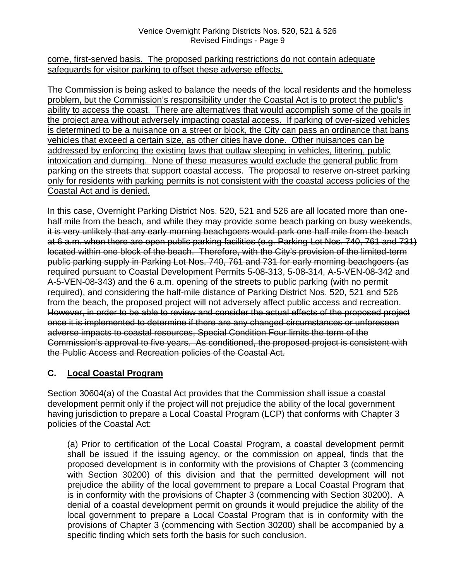#### Venice Overnight Parking Districts Nos. 520, 521 & 526 Revised Findings - Page 9

#### come, first-served basis. The proposed parking restrictions do not contain adequate safeguards for visitor parking to offset these adverse effects.

The Commission is being asked to balance the needs of the local residents and the homeless problem, but the Commission's responsibility under the Coastal Act is to protect the public's ability to access the coast. There are alternatives that would accomplish some of the goals in the project area without adversely impacting coastal access. If parking of over-sized vehicles is determined to be a nuisance on a street or block, the City can pass an ordinance that bans vehicles that exceed a certain size, as other cities have done. Other nuisances can be addressed by enforcing the existing laws that outlaw sleeping in vehicles, littering, public intoxication and dumping. None of these measures would exclude the general public from parking on the streets that support coastal access. The proposal to reserve on-street parking only for residents with parking permits is not consistent with the coastal access policies of the Coastal Act and is denied.

In this case, Overnight Parking District Nos. 520, 521 and 526 are all located more than onehalf mile from the beach, and while they may provide some beach parking on busy weekends, it is very unlikely that any early morning beachgoers would park one-half mile from the beach at 6 a.m. when there are open public parking facilities (e.g. Parking Lot Nos. 740, 761 and 731) located within one block of the beach. Therefore, with the City's provision of the limited-term public parking supply in Parking Lot Nos. 740, 761 and 731 for early morning beachgoers (as required pursuant to Coastal Development Permits 5-08-313, 5-08-314, A-5-VEN-08-342 and A-5-VEN-08-343) and the 6 a.m. opening of the streets to public parking (with no permit required), and considering the half-mile distance of Parking District Nos. 520, 521 and 526 from the beach, the proposed project will not adversely affect public access and recreation. However, in order to be able to review and consider the actual effects of the proposed project once it is implemented to determine if there are any changed circumstances or unforeseen adverse impacts to coastal resources, Special Condition Four limits the term of the Commission's approval to five years. As conditioned, the proposed project is consistent with the Public Access and Recreation policies of the Coastal Act.

#### **C. Local Coastal Program**

Section 30604(a) of the Coastal Act provides that the Commission shall issue a coastal development permit only if the project will not prejudice the ability of the local government having jurisdiction to prepare a Local Coastal Program (LCP) that conforms with Chapter 3 policies of the Coastal Act:

 (a) Prior to certification of the Local Coastal Program, a coastal development permit shall be issued if the issuing agency, or the commission on appeal, finds that the proposed development is in conformity with the provisions of Chapter 3 (commencing with Section 30200) of this division and that the permitted development will not prejudice the ability of the local government to prepare a Local Coastal Program that is in conformity with the provisions of Chapter 3 (commencing with Section 30200). A denial of a coastal development permit on grounds it would prejudice the ability of the local government to prepare a Local Coastal Program that is in conformity with the provisions of Chapter 3 (commencing with Section 30200) shall be accompanied by a specific finding which sets forth the basis for such conclusion.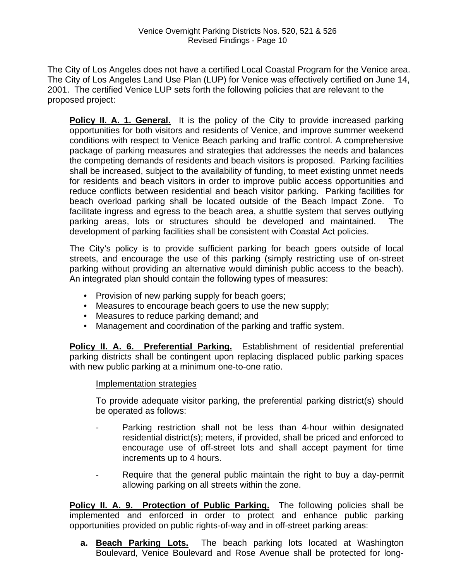The City of Los Angeles does not have a certified Local Coastal Program for the Venice area. The City of Los Angeles Land Use Plan (LUP) for Venice was effectively certified on June 14, 2001. The certified Venice LUP sets forth the following policies that are relevant to the proposed project:

**Policy II. A. 1. General.** It is the policy of the City to provide increased parking opportunities for both visitors and residents of Venice, and improve summer weekend conditions with respect to Venice Beach parking and traffic control. A comprehensive package of parking measures and strategies that addresses the needs and balances the competing demands of residents and beach visitors is proposed. Parking facilities shall be increased, subject to the availability of funding, to meet existing unmet needs for residents and beach visitors in order to improve public access opportunities and reduce conflicts between residential and beach visitor parking. Parking facilities for beach overload parking shall be located outside of the Beach Impact Zone. To facilitate ingress and egress to the beach area, a shuttle system that serves outlying parking areas, lots or structures should be developed and maintained. The development of parking facilities shall be consistent with Coastal Act policies.

The City's policy is to provide sufficient parking for beach goers outside of local streets, and encourage the use of this parking (simply restricting use of on-street parking without providing an alternative would diminish public access to the beach). An integrated plan should contain the following types of measures:

- Provision of new parking supply for beach goers;
- Measures to encourage beach goers to use the new supply;
- Measures to reduce parking demand; and
- Management and coordination of the parking and traffic system.

**Policy II. A. 6. Preferential Parking.** Establishment of residential preferential parking districts shall be contingent upon replacing displaced public parking spaces with new public parking at a minimum one-to-one ratio.

#### Implementation strategies

To provide adequate visitor parking, the preferential parking district(s) should be operated as follows:

- Parking restriction shall not be less than 4-hour within designated residential district(s); meters, if provided, shall be priced and enforced to encourage use of off-street lots and shall accept payment for time increments up to 4 hours.
- Require that the general public maintain the right to buy a day-permit allowing parking on all streets within the zone.

**Policy II. A. 9. Protection of Public Parking.** The following policies shall be implemented and enforced in order to protect and enhance public parking opportunities provided on public rights-of-way and in off-street parking areas:

**a. Beach Parking Lots.** The beach parking lots located at Washington Boulevard, Venice Boulevard and Rose Avenue shall be protected for long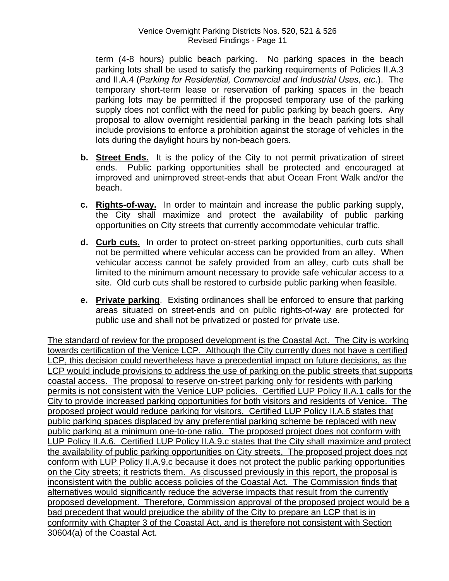term (4-8 hours) public beach parking. No parking spaces in the beach parking lots shall be used to satisfy the parking requirements of Policies II.A.3 and II.A.4 (*Parking for Residential, Commercial and Industrial Uses, etc*.). The temporary short-term lease or reservation of parking spaces in the beach parking lots may be permitted if the proposed temporary use of the parking supply does not conflict with the need for public parking by beach goers. Any proposal to allow overnight residential parking in the beach parking lots shall include provisions to enforce a prohibition against the storage of vehicles in the lots during the daylight hours by non-beach goers.

- **b. Street Ends.** It is the policy of the City to not permit privatization of street ends. Public parking opportunities shall be protected and encouraged at improved and unimproved street-ends that abut Ocean Front Walk and/or the beach.
- **c. Rights-of-way.** In order to maintain and increase the public parking supply, the City shall maximize and protect the availability of public parking opportunities on City streets that currently accommodate vehicular traffic.
- **d. Curb cuts.** In order to protect on-street parking opportunities, curb cuts shall not be permitted where vehicular access can be provided from an alley. When vehicular access cannot be safely provided from an alley, curb cuts shall be limited to the minimum amount necessary to provide safe vehicular access to a site. Old curb cuts shall be restored to curbside public parking when feasible.
- **e. Private parking**. Existing ordinances shall be enforced to ensure that parking areas situated on street-ends and on public rights-of-way are protected for public use and shall not be privatized or posted for private use.

The standard of review for the proposed development is the Coastal Act. The City is working towards certification of the Venice LCP. Although the City currently does not have a certified LCP, this decision could nevertheless have a precedential impact on future decisions, as the LCP would include provisions to address the use of parking on the public streets that supports coastal access. The proposal to reserve on-street parking only for residents with parking permits is not consistent with the Venice LUP policies. Certified LUP Policy II.A.1 calls for the City to provide increased parking opportunities for both visitors and residents of Venice. The proposed project would reduce parking for visitors. Certified LUP Policy II.A.6 states that public parking spaces displaced by any preferential parking scheme be replaced with new public parking at a minimum one-to-one ratio. The proposed project does not conform with LUP Policy II.A.6. Certified LUP Policy II.A.9.c states that the City shall maximize and protect the availability of public parking opportunities on City streets. The proposed project does not conform with LUP Policy II.A.9.c because it does not protect the public parking opportunities on the City streets; it restricts them. As discussed previously in this report, the proposal is inconsistent with the public access policies of the Coastal Act. The Commission finds that alternatives would significantly reduce the adverse impacts that result from the currently proposed development. Therefore, Commission approval of the proposed project would be a bad precedent that would prejudice the ability of the City to prepare an LCP that is in conformity with Chapter 3 of the Coastal Act, and is therefore not consistent with Section 30604(a) of the Coastal Act.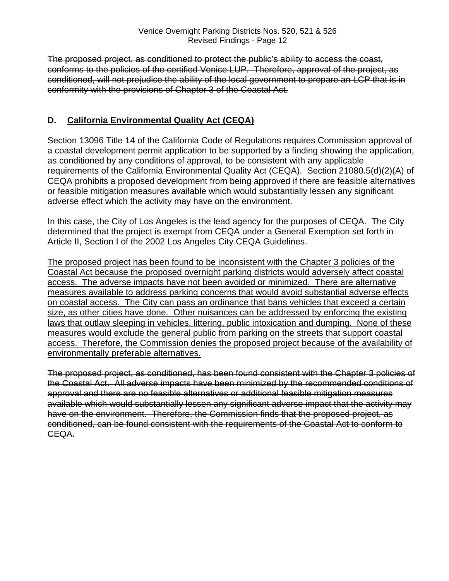The proposed project, as conditioned to protect the public's ability to access the coast, conforms to the policies of the certified Venice LUP. Therefore, approval of the project, as conditioned, will not prejudice the ability of the local government to prepare an LCP that is in conformity with the provisions of Chapter 3 of the Coastal Act.

#### **D. California Environmental Quality Act (CEQA)**

Section 13096 Title 14 of the California Code of Regulations requires Commission approval of a coastal development permit application to be supported by a finding showing the application, as conditioned by any conditions of approval, to be consistent with any applicable requirements of the California Environmental Quality Act (CEQA). Section 21080.5(d)(2)(A) of CEQA prohibits a proposed development from being approved if there are feasible alternatives or feasible mitigation measures available which would substantially lessen any significant adverse effect which the activity may have on the environment.

In this case, the City of Los Angeles is the lead agency for the purposes of CEQA. The City determined that the project is exempt from CEQA under a General Exemption set forth in Article II, Section I of the 2002 Los Angeles City CEQA Guidelines.

The proposed project has been found to be inconsistent with the Chapter 3 policies of the Coastal Act because the proposed overnight parking districts would adversely affect coastal access. The adverse impacts have not been avoided or minimized. There are alternative measures available to address parking concerns that would avoid substantial adverse effects on coastal access. The City can pass an ordinance that bans vehicles that exceed a certain size, as other cities have done. Other nuisances can be addressed by enforcing the existing laws that outlaw sleeping in vehicles, littering, public intoxication and dumping. None of these measures would exclude the general public from parking on the streets that support coastal access. Therefore, the Commission denies the proposed project because of the availability of environmentally preferable alternatives.

The proposed project, as conditioned, has been found consistent with the Chapter 3 policies of the Coastal Act. All adverse impacts have been minimized by the recommended conditions of approval and there are no feasible alternatives or additional feasible mitigation measures available which would substantially lessen any significant adverse impact that the activity may have on the environment. Therefore, the Commission finds that the proposed project, as conditioned, can be found consistent with the requirements of the Coastal Act to conform to CEQA.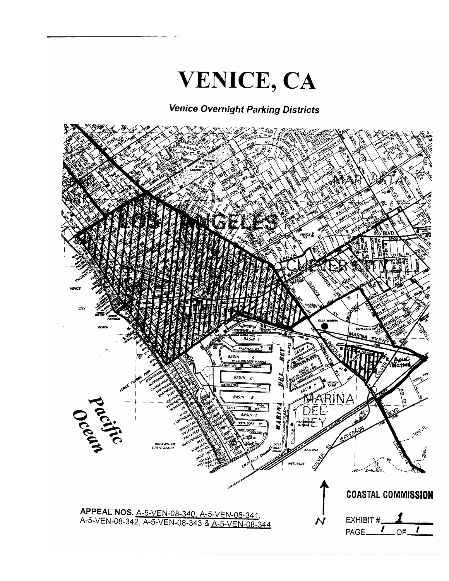

## **Venice Overnight Parking Districts**

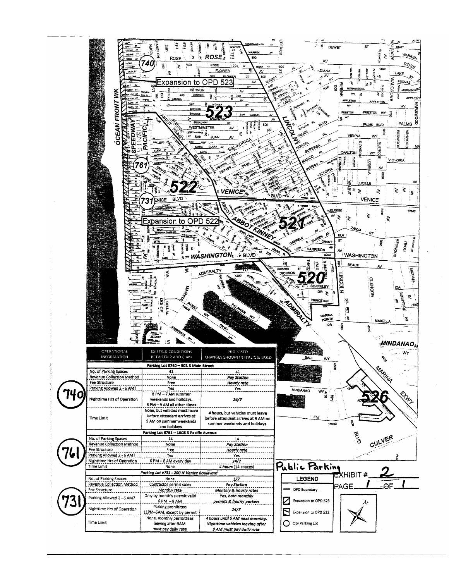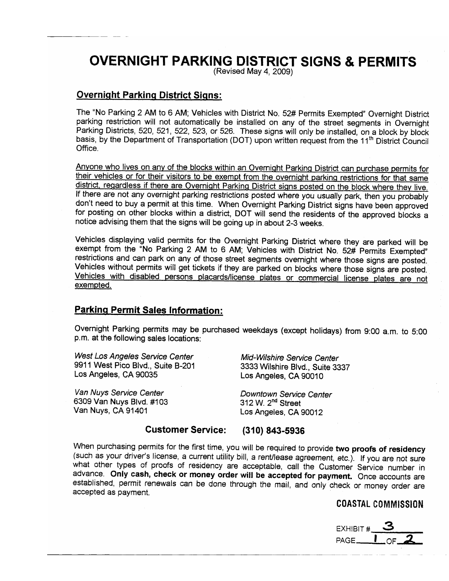## **OVERNIGHT PARKING DISTRICT SIGNS & PERMITS**

(Revised May 4, 2009)

#### **Overnight Parking District Signs:**

The "No Parking 2 AM to 6 AM; Vehicles with District No. 52# Permits Exempted" Overnight District parking restriction will not automatically be installed on any of the street segments in Overnight Parking Districts, 520, 521, 522, 523, or 526. These signs will only be installed, on a block by block basis, by the Department of Transportation (DOT) upon written request from the 11<sup>th</sup> District Council Office.

Anyone who lives on any of the blocks within an Overnight Parking District can purchase permits for their vehicles or for their visitors to be exempt from the overnight parking restrictions for that same district, regardless if there are Overnight Parking District signs posted on the block where they live. If there are not any overnight parking restrictions posted where you usually park, then you probably don't need to buy a permit at this time. When Overnight Parking District signs have been approved for posting on other blocks within a district, DOT will send the residents of the approved blocks a notice advising them that the signs will be going up in about 2-3 weeks.

Vehicles displaying valid permits for the Overnight Parking District where they are parked will be exempt from the "No Parking 2 AM to 6 AM; Vehicles with District No. 52# Permits Exempted" restrictions and can park on any of those street segments overnight where those signs are posted. Vehicles without permits will get tickets if they are parked on blocks where those signs are posted. Vehicles with disabled persons placards/license plates or commercial license plates are not exempted.

#### **Parking Permit Sales Information:**

Overnight Parking permits may be purchased weekdays (except holidays) from 9:00 a.m. to 5:00 p.m. at the following sales locations:

West Los Angeles Service Center 9911 West Pico Blvd., Suite B-201 Los Angeles, CA 90035

Van Nuys Service Center 6309 Van Nuys Blvd. #103 Van Nuys, CA 91401

Mid-Wilshire Service Center 3333 Wilshire Blvd., Suite 3337 Los Angeles, CA 90010

Downtown Service Center 312 W. 2<sup>nd</sup> Street Los Angeles, CA 90012

#### **Customer Service:**  $(310) 843 - 5936$

When purchasing permits for the first time, you will be required to provide two proofs of residency (such as your driver's license, a current utility bill, a rent/lease agreement, etc.). If you are not sure what other types of proofs of residency are acceptable, call the Customer Service number in advance. Only cash, check or money order will be accepted for payment. Once accounts are established, permit renewals can be done through the mail, and only check or money order are accepted as payment.

#### COASTAL COMMISSION

EXHIBIT  $\#$  3<br>PAGE  $\frac{1}{1}$  OF